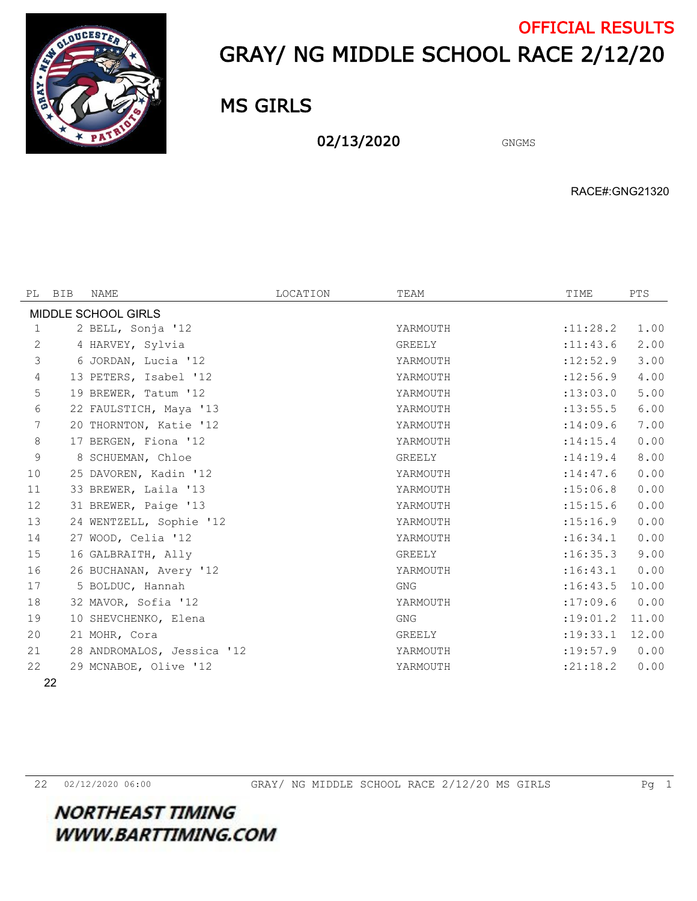

## GRAY/ NG MIDDLE SCHOOL RACE 2/12/20 OFFICIAL RESULTS

MS GIRLS

02/13/2020 GNGMS

RACE#:GNG21320

| MIDDLE SCHOOL GIRLS<br>1.00<br>2 BELL, Sonja '12<br>: 11: 28.2<br>1<br>YARMOUTH<br>$\mathbf{2}$<br>2.00<br>: 11: 43.6<br>4 HARVEY, Sylvia<br>GREELY<br>3<br>:12:52.9<br>3.00<br>6 JORDAN, Lucia '12<br>YARMOUTH<br>:12:56.9<br>4.00<br>4<br>13 PETERS, Isabel '12<br>YARMOUTH<br>5<br>:13:03.0<br>5.00<br>19 BREWER, Tatum '12<br>YARMOUTH<br>6<br>6.00<br>: 13: 55.5<br>22 FAULSTICH, Maya '13<br>YARMOUTH<br>7.00<br>7<br>20 THORNTON, Katie '12<br>:14:09.6<br>YARMOUTH<br>$\,8\,$<br>0.00<br>17 BERGEN, Fiona '12<br>: 14: 15.4<br>YARMOUTH<br>9<br>8.00<br>8 SCHUEMAN, Chloe<br>GREELY<br>: 14: 19.4<br>0.00<br>10<br>25 DAVOREN, Kadin '12<br>: 14: 47.6<br>YARMOUTH<br>0.00<br>33 BREWER, Laila '13<br>:15:06.8<br>11<br>YARMOUTH<br>12<br>31 BREWER, Paige '13<br>: 15: 15.6<br>0.00<br>YARMOUTH<br>13<br>0.00<br>24 WENTZELL, Sophie '12<br>: 15:16.9<br>YARMOUTH<br>14<br>27 WOOD, Celia '12<br>:16:34.1<br>0.00<br>YARMOUTH<br>15<br>16 GALBRAITH, Ally<br>:16:35.3<br>9.00<br>GREELY<br>26 BUCHANAN, Avery '12<br>:16:43.1<br>0.00<br>16<br>YARMOUTH<br>17<br>5 BOLDUC, Hannah<br>:16:43.5<br>10.00<br>GNG<br>18<br>0.00<br>32 MAVOR, Sofia '12<br>YARMOUTH<br>:17:09.6<br>19<br>10 SHEVCHENKO, Elena<br><b>GNG</b><br>: 19:01.2<br>11.00 | PL | BIB | NAME | LOCATION | TEAM | TIME | PTS |  |  |
|-------------------------------------------------------------------------------------------------------------------------------------------------------------------------------------------------------------------------------------------------------------------------------------------------------------------------------------------------------------------------------------------------------------------------------------------------------------------------------------------------------------------------------------------------------------------------------------------------------------------------------------------------------------------------------------------------------------------------------------------------------------------------------------------------------------------------------------------------------------------------------------------------------------------------------------------------------------------------------------------------------------------------------------------------------------------------------------------------------------------------------------------------------------------------------------------------------------------------------------------------------|----|-----|------|----------|------|------|-----|--|--|
|                                                                                                                                                                                                                                                                                                                                                                                                                                                                                                                                                                                                                                                                                                                                                                                                                                                                                                                                                                                                                                                                                                                                                                                                                                                       |    |     |      |          |      |      |     |  |  |
|                                                                                                                                                                                                                                                                                                                                                                                                                                                                                                                                                                                                                                                                                                                                                                                                                                                                                                                                                                                                                                                                                                                                                                                                                                                       |    |     |      |          |      |      |     |  |  |
|                                                                                                                                                                                                                                                                                                                                                                                                                                                                                                                                                                                                                                                                                                                                                                                                                                                                                                                                                                                                                                                                                                                                                                                                                                                       |    |     |      |          |      |      |     |  |  |
|                                                                                                                                                                                                                                                                                                                                                                                                                                                                                                                                                                                                                                                                                                                                                                                                                                                                                                                                                                                                                                                                                                                                                                                                                                                       |    |     |      |          |      |      |     |  |  |
|                                                                                                                                                                                                                                                                                                                                                                                                                                                                                                                                                                                                                                                                                                                                                                                                                                                                                                                                                                                                                                                                                                                                                                                                                                                       |    |     |      |          |      |      |     |  |  |
|                                                                                                                                                                                                                                                                                                                                                                                                                                                                                                                                                                                                                                                                                                                                                                                                                                                                                                                                                                                                                                                                                                                                                                                                                                                       |    |     |      |          |      |      |     |  |  |
|                                                                                                                                                                                                                                                                                                                                                                                                                                                                                                                                                                                                                                                                                                                                                                                                                                                                                                                                                                                                                                                                                                                                                                                                                                                       |    |     |      |          |      |      |     |  |  |
|                                                                                                                                                                                                                                                                                                                                                                                                                                                                                                                                                                                                                                                                                                                                                                                                                                                                                                                                                                                                                                                                                                                                                                                                                                                       |    |     |      |          |      |      |     |  |  |
|                                                                                                                                                                                                                                                                                                                                                                                                                                                                                                                                                                                                                                                                                                                                                                                                                                                                                                                                                                                                                                                                                                                                                                                                                                                       |    |     |      |          |      |      |     |  |  |
|                                                                                                                                                                                                                                                                                                                                                                                                                                                                                                                                                                                                                                                                                                                                                                                                                                                                                                                                                                                                                                                                                                                                                                                                                                                       |    |     |      |          |      |      |     |  |  |
|                                                                                                                                                                                                                                                                                                                                                                                                                                                                                                                                                                                                                                                                                                                                                                                                                                                                                                                                                                                                                                                                                                                                                                                                                                                       |    |     |      |          |      |      |     |  |  |
|                                                                                                                                                                                                                                                                                                                                                                                                                                                                                                                                                                                                                                                                                                                                                                                                                                                                                                                                                                                                                                                                                                                                                                                                                                                       |    |     |      |          |      |      |     |  |  |
|                                                                                                                                                                                                                                                                                                                                                                                                                                                                                                                                                                                                                                                                                                                                                                                                                                                                                                                                                                                                                                                                                                                                                                                                                                                       |    |     |      |          |      |      |     |  |  |
|                                                                                                                                                                                                                                                                                                                                                                                                                                                                                                                                                                                                                                                                                                                                                                                                                                                                                                                                                                                                                                                                                                                                                                                                                                                       |    |     |      |          |      |      |     |  |  |
|                                                                                                                                                                                                                                                                                                                                                                                                                                                                                                                                                                                                                                                                                                                                                                                                                                                                                                                                                                                                                                                                                                                                                                                                                                                       |    |     |      |          |      |      |     |  |  |
|                                                                                                                                                                                                                                                                                                                                                                                                                                                                                                                                                                                                                                                                                                                                                                                                                                                                                                                                                                                                                                                                                                                                                                                                                                                       |    |     |      |          |      |      |     |  |  |
|                                                                                                                                                                                                                                                                                                                                                                                                                                                                                                                                                                                                                                                                                                                                                                                                                                                                                                                                                                                                                                                                                                                                                                                                                                                       |    |     |      |          |      |      |     |  |  |
|                                                                                                                                                                                                                                                                                                                                                                                                                                                                                                                                                                                                                                                                                                                                                                                                                                                                                                                                                                                                                                                                                                                                                                                                                                                       |    |     |      |          |      |      |     |  |  |
|                                                                                                                                                                                                                                                                                                                                                                                                                                                                                                                                                                                                                                                                                                                                                                                                                                                                                                                                                                                                                                                                                                                                                                                                                                                       |    |     |      |          |      |      |     |  |  |
|                                                                                                                                                                                                                                                                                                                                                                                                                                                                                                                                                                                                                                                                                                                                                                                                                                                                                                                                                                                                                                                                                                                                                                                                                                                       |    |     |      |          |      |      |     |  |  |
| 20<br>: 19: 33.1<br>12.00<br>21 MOHR, Cora<br>GREELY                                                                                                                                                                                                                                                                                                                                                                                                                                                                                                                                                                                                                                                                                                                                                                                                                                                                                                                                                                                                                                                                                                                                                                                                  |    |     |      |          |      |      |     |  |  |
| :19:57.9<br>0.00<br>21<br>28 ANDROMALOS, Jessica '12<br>YARMOUTH                                                                                                                                                                                                                                                                                                                                                                                                                                                                                                                                                                                                                                                                                                                                                                                                                                                                                                                                                                                                                                                                                                                                                                                      |    |     |      |          |      |      |     |  |  |
| 22<br>29 MCNABOE, Olive '12<br>: 21:18.2<br>0.00<br>YARMOUTH                                                                                                                                                                                                                                                                                                                                                                                                                                                                                                                                                                                                                                                                                                                                                                                                                                                                                                                                                                                                                                                                                                                                                                                          |    |     |      |          |      |      |     |  |  |

**NORTHEAST TIMING** 

**WWW.BARTTIMING.COM**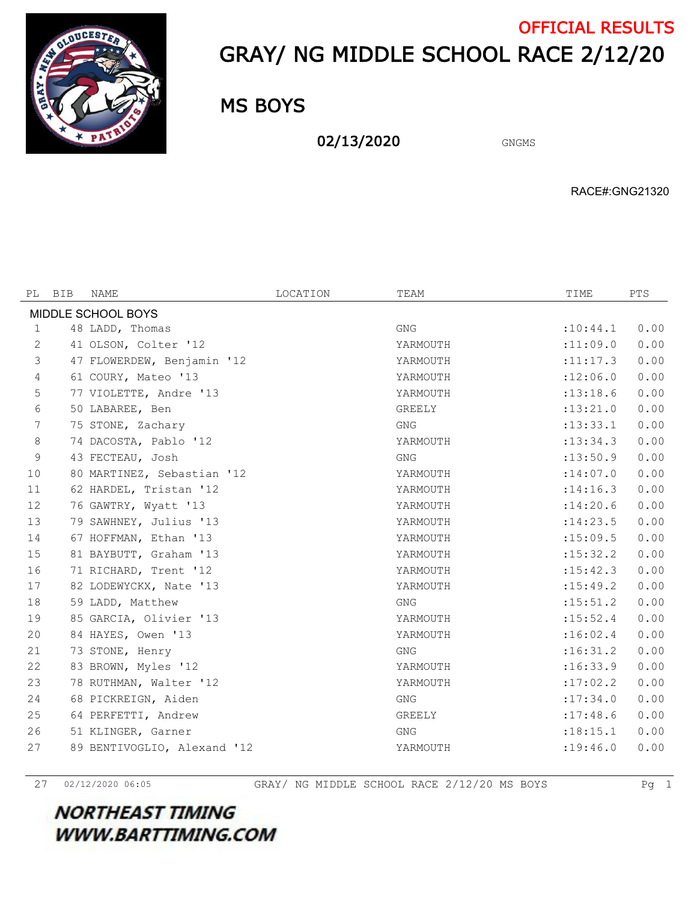

## GRAY/ NG MIDDLE SCHOOL RACE 2/12/20 OFFICIAL RESULTS

MS BOYS

02/13/2020 GNGMS

RACE#:GNG21320

| PL                 | BIB | <b>NAME</b>                 | LOCATION | TEAM       | TIME       | PTS  |  |  |
|--------------------|-----|-----------------------------|----------|------------|------------|------|--|--|
| MIDDLE SCHOOL BOYS |     |                             |          |            |            |      |  |  |
| 1                  |     | 48 LADD, Thomas             |          | <b>GNG</b> | :10:44.1   | 0.00 |  |  |
| $\mathbf{2}$       |     | 41 OLSON, Colter '12        |          | YARMOUTH   | :11:09.0   | 0.00 |  |  |
| 3                  |     | 47 FLOWERDEW, Benjamin '12  |          | YARMOUTH   | :11:17.3   | 0.00 |  |  |
| 4                  |     | 61 COURY, Mateo '13         |          | YARMOUTH   | :12:06.0   | 0.00 |  |  |
| $\mathbf 5$        |     | 77 VIOLETTE, Andre '13      |          | YARMOUTH   | : 13: 18.6 | 0.00 |  |  |
| 6                  |     | 50 LABAREE, Ben             |          | GREELY     | : 13: 21.0 | 0.00 |  |  |
| $7\phantom{.0}$    |     | 75 STONE, Zachary           |          | <b>GNG</b> | : 13: 33.1 | 0.00 |  |  |
| 8                  |     | 74 DACOSTA, Pablo '12       |          | YARMOUTH   | : 13: 34.3 | 0.00 |  |  |
| $\overline{9}$     |     | 43 FECTEAU, Josh            |          | <b>GNG</b> | :13:50.9   | 0.00 |  |  |
| 10                 |     | 80 MARTINEZ, Sebastian '12  |          | YARMOUTH   | : 14:07.0  | 0.00 |  |  |
| 11                 |     | 62 HARDEL, Tristan '12      |          | YARMOUTH   | : 14:16.3  | 0.00 |  |  |
| 12                 |     | 76 GAWTRY, Wyatt '13        |          | YARMOUTH   | :14:20.6   | 0.00 |  |  |
| 13                 |     | 79 SAWHNEY, Julius '13      |          | YARMOUTH   | : 14: 23.5 | 0.00 |  |  |
| 14                 |     | 67 HOFFMAN, Ethan '13       |          | YARMOUTH   | :15:09.5   | 0.00 |  |  |
| 15                 |     | 81 BAYBUTT, Graham '13      |          | YARMOUTH   | : 15: 32.2 | 0.00 |  |  |
| 16                 |     | 71 RICHARD, Trent '12       |          | YARMOUTH   | : 15: 42.3 | 0.00 |  |  |
| 17                 |     | 82 LODEWYCKX, Nate '13      |          | YARMOUTH   | : 15: 49.2 | 0.00 |  |  |
| 18                 |     | 59 LADD, Matthew            |          | <b>GNG</b> | : 15: 51.2 | 0.00 |  |  |
| 19                 |     | 85 GARCIA, Olivier '13      |          | YARMOUTH   | : 15:52.4  | 0.00 |  |  |
| 20                 |     | 84 HAYES, Owen '13          |          | YARMOUTH   | :16:02.4   | 0.00 |  |  |
| 21                 |     | 73 STONE, Henry             |          | GNG        | :16:31.2   | 0.00 |  |  |
| 22                 |     | 83 BROWN, Myles '12         |          | YARMOUTH   | :16:33.9   | 0.00 |  |  |
| 23                 |     | 78 RUTHMAN, Walter '12      |          | YARMOUTH   | :17:02.2   | 0.00 |  |  |
| 24                 |     | 68 PICKREIGN, Aiden         |          | <b>GNG</b> | : 17:34.0  | 0.00 |  |  |
| 25                 |     | 64 PERFETTI, Andrew         |          | GREELY     | :17:48.6   | 0.00 |  |  |
| 26                 |     | 51 KLINGER, Garner          |          | <b>GNG</b> | :18:15.1   | 0.00 |  |  |
| 27                 |     | 89 BENTIVOGLIO, Alexand '12 |          | YARMOUTH   | : 19: 46.0 | 0.00 |  |  |

02/12/2020 06:05 GRAY/ NG MIDDLE SCHOOL RACE 2/12/20 MS BOYS Pg 1

**NORTHEAST TIMING WWW.BARTTIMING.COM**